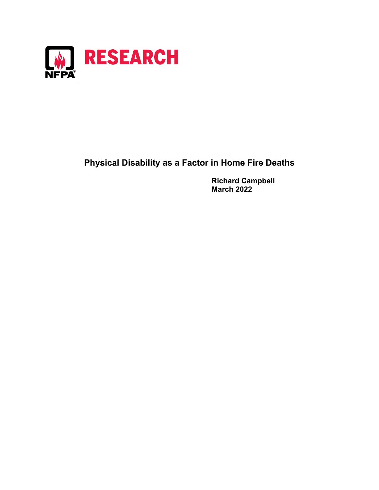

# **Physical Disability as a Factor in Home Fire Deaths**

**Richard Campbell March 2022**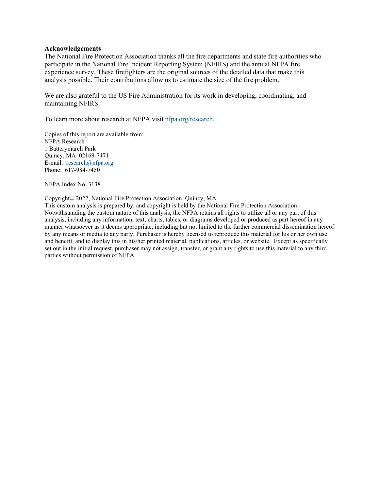#### **Acknowledgements**

The National Fire Protection Association thanks all the fire departments and state fire authorities who participate in the National Fire Incident Reporting System (NFIRS) and the annual NFPA fire experience survey. These firefighters are the original sources of the detailed data that make this analysis possible. Their contributions allow us to estimate the size of the fire problem.

We are also grateful to the US Fire Administration for its work in developing, coordinating, and maintaining NFIRS.

To learn more about research at NFPA visit [nfpa.org/research.](http://www.nfpa.org/research)

Copies of this report are available from: NFPA Research 1 Batterymarch Park Quincy, MA 02169-7471 E-mail: [research@nfpa.org](mailto:research@nfpa.org) Phone: 617-984-7450

NFPA Index No. 3138

Copyright© 2022, National Fire Protection Association, Quincy, MA

This custom analysis is prepared by, and copyright is held by the National Fire Protection Association. Notwithstanding the custom nature of this analysis, the NFPA retains all rights to utilize all or any part of this analysis, including any information, text, charts, tables, or diagrams developed or produced as part hereof in any manner whatsoever as it deems appropriate, including but not limited to the further commercial dissemination hereof by any means or media to any party. Purchaser is hereby licensed to reproduce this material for his or her own use and benefit, and to display this in his/her printed material, publications, articles, or website. Except as specifically set out in the initial request, purchaser may not assign, transfer, or grant any rights to use this material to any third parties without permission of NFPA.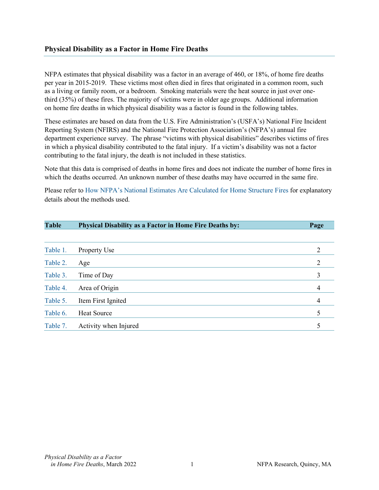### **Physical Disability as a Factor in Home Fire Deaths**

NFPA estimates that physical disability was a factor in an average of 460, or 18%, of home fire deaths per year in 2015-2019. These victims most often died in fires that originated in a common room, such as a living or family room, or a bedroom. Smoking materials were the heat source in just over onethird (35%) of these fires. The majority of victims were in older age groups. Additional information on home fire deaths in which physical disability was a factor is found in the following tables.

These estimates are based on data from the U.S. Fire Administration's (USFA's) National Fire Incident Reporting System (NFIRS) and the National Fire Protection Association's (NFPA's) annual fire department experience survey. The phrase "victims with physical disabilities" describes victims of fires in which a physical disability contributed to the fatal injury. If a victim's disability was not a factor contributing to the fatal injury, the death is not included in these statistics.

Note that this data is comprised of deaths in home fires and does not indicate the number of home fires in which the deaths occurred. An unknown number of these deaths may have occurred in the same fire.

Please refer to [How NFPA's National Estimates Are Calculated for Home Structure Fires](https://www.nfpa.org/%7E/media/Files/News%20and%20Research/Fire%20statistics%20and%20reports/NFPA-estimates-and-methodology/NationalEstimatesHomeFires.pdf) for explanatory details about the methods used.

| <b>Table</b> | <b>Physical Disability as a Factor in Home Fire Deaths by:</b> | Page |
|--------------|----------------------------------------------------------------|------|
|              |                                                                |      |
| Table 1.     | Property Use                                                   | 2    |
| Table 2.     | Age                                                            | 2    |
| Table 3.     | Time of Day                                                    | 3    |
| Table 4.     | Area of Origin                                                 | 4    |
| Table 5.     | Item First Ignited                                             | 4    |
| Table 6.     | <b>Heat Source</b>                                             | 5    |
| Table 7.     | Activity when Injured                                          |      |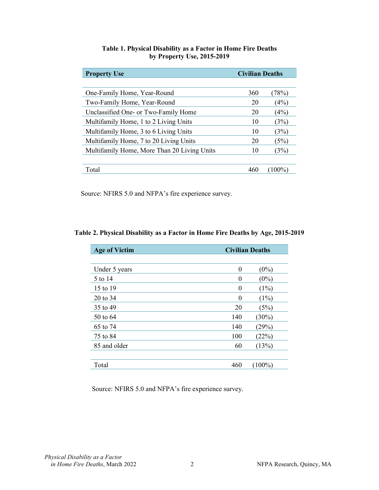| <b>Property Use</b>                         | <b>Civilian Deaths</b> |         |  |
|---------------------------------------------|------------------------|---------|--|
|                                             |                        |         |  |
| One-Family Home, Year-Round                 | 360                    | (78%)   |  |
| Two-Family Home, Year-Round                 | 20                     | (4%)    |  |
| Unclassified One- or Two-Family Home        | 20                     | (4%)    |  |
| Multifamily Home, 1 to 2 Living Units       | 10                     | (3%)    |  |
| Multifamily Home, 3 to 6 Living Units       | 10                     | (3%)    |  |
| Multifamily Home, 7 to 20 Living Units      | 20                     | (5%)    |  |
| Multifamily Home, More Than 20 Living Units | 10                     | (3%)    |  |
|                                             |                        |         |  |
| Total                                       | 460                    | $100\%$ |  |

### **Table 1. Physical Disability as a Factor in Home Fire Deaths by Property Use, 2015-2019**

Source: NFIRS 5.0 and NFPA's fire experience survey.

## **Table 2. Physical Disability as a Factor in Home Fire Deaths by Age, 2015-2019**

| <b>Age of Victim</b> | <b>Civilian Deaths</b> |           |  |
|----------------------|------------------------|-----------|--|
|                      |                        |           |  |
| Under 5 years        | 0                      | $(0\%)$   |  |
| 5 to 14              | 0                      | $(0\%)$   |  |
| 15 to 19             | 0                      | (1%)      |  |
| 20 to 34             | 0                      | (1%)      |  |
| 35 to 49             | 20                     | (5%)      |  |
| 50 to 64             | 140                    | $(30\%)$  |  |
| 65 to 74             | 140                    | (29%)     |  |
| 75 to 84             | 100                    | (22%)     |  |
| 85 and older         | 60                     | (13%)     |  |
|                      |                        |           |  |
| Total                | 460                    | $(100\%)$ |  |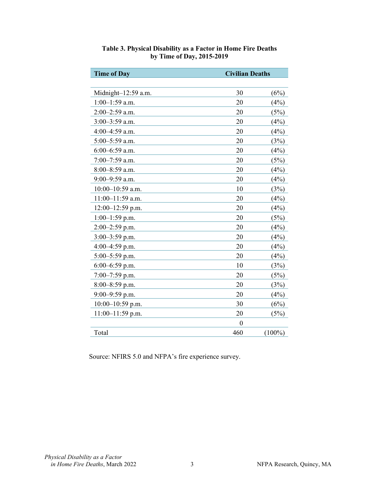| <b>Time of Day</b>  |                | <b>Civilian Deaths</b> |  |
|---------------------|----------------|------------------------|--|
|                     |                |                        |  |
| Midnight-12:59 a.m. | 30             | (6%)                   |  |
| $1:00-1:59$ a.m.    | 20             | (4%)                   |  |
| 2:00-2:59 a.m.      | 20             | (5%)                   |  |
| $3:00 - 3:59$ a.m.  | 20             | (4%)                   |  |
| 4:00-4:59 a.m.      | 20             | (4%)                   |  |
| 5:00-5:59 a.m.      | 20             | (3%)                   |  |
| $6:00-6:59$ a.m.    | 20             | (4%)                   |  |
| 7:00-7:59 a.m.      | 20             | (5%)                   |  |
| 8:00-8:59 a.m.      | 20             | (4%)                   |  |
| $9:00-9:59$ a.m.    | 20             | (4%)                   |  |
| 10:00-10:59 a.m.    | 10             | (3%)                   |  |
| $11:00-11:59$ a.m.  | 20             | (4%)                   |  |
| $12:00-12:59$ p.m.  | 20             | (4%)                   |  |
| $1:00-1:59$ p.m.    | 20             | (5%)                   |  |
| $2:00-2:59$ p.m.    | 20             | (4%)                   |  |
| 3:00-3:59 p.m.      | 20             | (4%)                   |  |
| 4:00-4:59 p.m.      | 20             | (4%)                   |  |
| $5:00-5:59$ p.m.    | 20             | (4%)                   |  |
| $6:00-6:59$ p.m.    | 10             | (3%)                   |  |
| $7:00 - 7:59$ p.m.  | 20             | (5%)                   |  |
| $8:00-8:59$ p.m.    | 20             | (3%)                   |  |
| $9:00-9:59$ p.m.    | 20             | (4%)                   |  |
| 10:00-10:59 p.m.    | 30             | (6%)                   |  |
| 11:00-11:59 p.m.    | 20             | (5%)                   |  |
|                     | $\overline{0}$ |                        |  |
| Total               | 460            | $(100\%)$              |  |

### **Table 3. Physical Disability as a Factor in Home Fire Deaths by Time of Day, 2015-2019**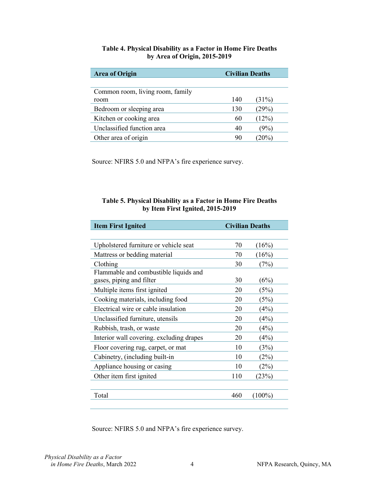### **Table 4. Physical Disability as a Factor in Home Fire Deaths by Area of Origin, 2015-2019**

| <b>Area of Origin</b>            | <b>Civilian Deaths</b> |       |
|----------------------------------|------------------------|-------|
|                                  |                        |       |
| Common room, living room, family |                        |       |
| room                             | 140                    | (31%) |
| Bedroom or sleeping area         | 130                    | (29%) |
| Kitchen or cooking area          | 60                     | (12%) |
| Unclassified function area       | 40                     | $9\%$ |
| Other area of origin             | 90                     | 20%   |

Source: NFIRS 5.0 and NFPA's fire experience survey.

### **Table 5. Physical Disability as a Factor in Home Fire Deaths by Item First Ignited, 2015-2019**

| <b>Civilian Deaths</b><br><b>Item First Ignited</b>               |     |           |
|-------------------------------------------------------------------|-----|-----------|
|                                                                   |     |           |
| Upholstered furniture or vehicle seat                             | 70  | (16%)     |
| Mattress or bedding material                                      | 70  | (16%)     |
| Clothing                                                          | 30  | (7%)      |
| Flammable and combustible liquids and<br>gases, piping and filter | 30  | (6%)      |
| Multiple items first ignited                                      | 20  | (5%)      |
| Cooking materials, including food                                 | 20  | (5%)      |
| Electrical wire or cable insulation                               | 20  | (4%)      |
| Unclassified furniture, utensils                                  | 20  | (4%)      |
| Rubbish, trash, or waste                                          | 20  | (4%)      |
| Interior wall covering. excluding drapes                          | 20  | (4%)      |
| Floor covering rug, carpet, or mat                                | 10  | (3%)      |
| Cabinetry, (including built-in                                    | 10  | (2%)      |
| Appliance housing or casing                                       | 10  | (2%)      |
| Other item first ignited                                          | 110 | (23%)     |
|                                                                   |     |           |
| Total                                                             | 460 | $(100\%)$ |
|                                                                   |     |           |